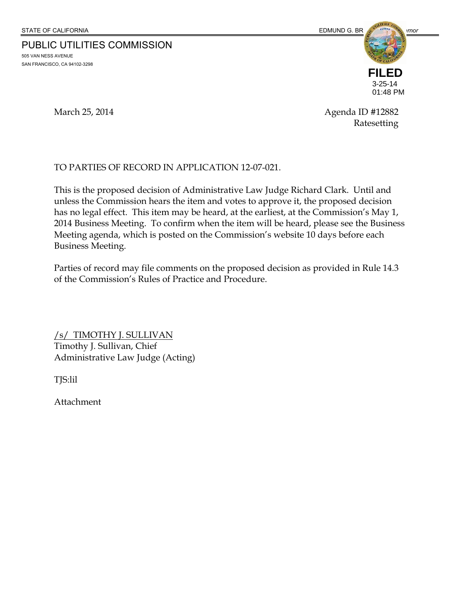PUBLIC UTILITIES COMMISSION 505 VAN NESS AVENUE

SAN FRANCISCO, CA 94102-3298



March 25, 2014 **Agenda ID** #12882 Ratesetting

#### TO PARTIES OF RECORD IN APPLICATION 12-07-021.

This is the proposed decision of Administrative Law Judge Richard Clark. Until and unless the Commission hears the item and votes to approve it, the proposed decision has no legal effect. This item may be heard, at the earliest, at the Commission's May 1, 2014 Business Meeting. To confirm when the item will be heard, please see the Business Meeting agenda, which is posted on the Commission's website 10 days before each Business Meeting.

Parties of record may file comments on the proposed decision as provided in Rule 14.3 of the Commission's Rules of Practice and Procedure.

/s/ TIMOTHY J. SULLIVAN Timothy J. Sullivan, Chief Administrative Law Judge (Acting)

TJS:lil

Attachment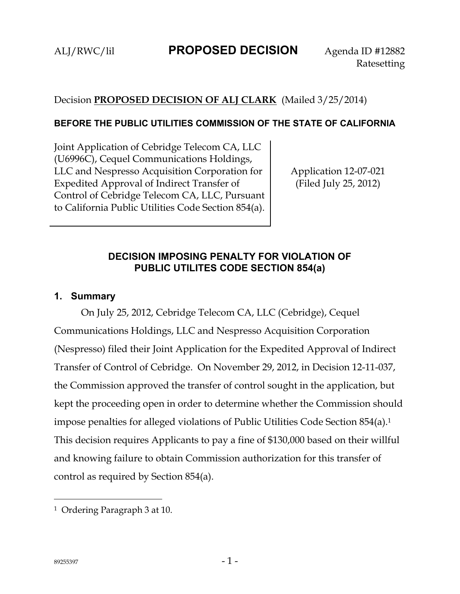## Decision **PROPOSED DECISION OF ALJ CLARK** (Mailed 3/25/2014)

#### **BEFORE THE PUBLIC UTILITIES COMMISSION OF THE STATE OF CALIFORNIA**

Joint Application of Cebridge Telecom CA, LLC (U6996C), Cequel Communications Holdings, LLC and Nespresso Acquisition Corporation for Expedited Approval of Indirect Transfer of Control of Cebridge Telecom CA, LLC, Pursuant to California Public Utilities Code Section 854(a).

Application 12-07-021 (Filed July 25, 2012)

## **DECISION IMPOSING PENALTY FOR VIOLATION OF PUBLIC UTILITES CODE SECTION 854(a)**

### **1. Summary**

On July 25, 2012, Cebridge Telecom CA, LLC (Cebridge), Cequel Communications Holdings, LLC and Nespresso Acquisition Corporation (Nespresso) filed their Joint Application for the Expedited Approval of Indirect Transfer of Control of Cebridge. On November 29, 2012, in Decision 12-11-037, the Commission approved the transfer of control sought in the application, but kept the proceeding open in order to determine whether the Commission should impose penalties for alleged violations of Public Utilities Code Section 854(a).1 This decision requires Applicants to pay a fine of \$130,000 based on their willful and knowing failure to obtain Commission authorization for this transfer of control as required by Section 854(a).

<sup>1</sup> Ordering Paragraph 3 at 10.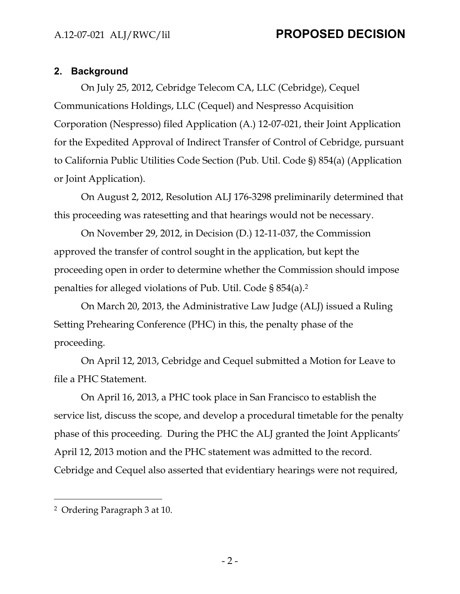### **2. Background**

On July 25, 2012, Cebridge Telecom CA, LLC (Cebridge), Cequel Communications Holdings, LLC (Cequel) and Nespresso Acquisition Corporation (Nespresso) filed Application (A.) 12-07-021, their Joint Application for the Expedited Approval of Indirect Transfer of Control of Cebridge, pursuant to California Public Utilities Code Section (Pub. Util. Code §) 854(a) (Application or Joint Application).

On August 2, 2012, Resolution ALJ 176-3298 preliminarily determined that this proceeding was ratesetting and that hearings would not be necessary.

On November 29, 2012, in Decision (D.) 12-11-037, the Commission approved the transfer of control sought in the application, but kept the proceeding open in order to determine whether the Commission should impose penalties for alleged violations of Pub. Util. Code § 854(a).2

On March 20, 2013, the Administrative Law Judge (ALJ) issued a Ruling Setting Prehearing Conference (PHC) in this, the penalty phase of the proceeding.

On April 12, 2013, Cebridge and Cequel submitted a Motion for Leave to file a PHC Statement.

On April 16, 2013, a PHC took place in San Francisco to establish the service list, discuss the scope, and develop a procedural timetable for the penalty phase of this proceeding. During the PHC the ALJ granted the Joint Applicants' April 12, 2013 motion and the PHC statement was admitted to the record. Cebridge and Cequel also asserted that evidentiary hearings were not required,

<sup>2</sup> Ordering Paragraph 3 at 10.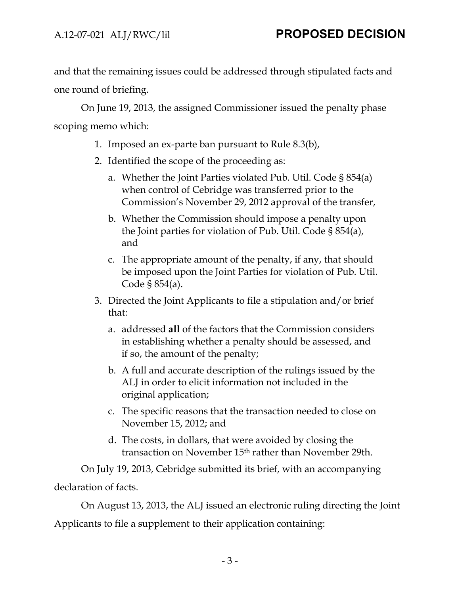and that the remaining issues could be addressed through stipulated facts and one round of briefing.

On June 19, 2013, the assigned Commissioner issued the penalty phase scoping memo which:

- 1. Imposed an ex-parte ban pursuant to Rule 8.3(b),
- 2. Identified the scope of the proceeding as:
	- a. Whether the Joint Parties violated Pub. Util. Code § 854(a) when control of Cebridge was transferred prior to the Commission's November 29, 2012 approval of the transfer,
	- b. Whether the Commission should impose a penalty upon the Joint parties for violation of Pub. Util. Code § 854(a), and
	- c. The appropriate amount of the penalty, if any, that should be imposed upon the Joint Parties for violation of Pub. Util. Code § 854(a).
- 3. Directed the Joint Applicants to file a stipulation and/or brief that:
	- a. addressed **all** of the factors that the Commission considers in establishing whether a penalty should be assessed, and if so, the amount of the penalty;
	- b. A full and accurate description of the rulings issued by the ALJ in order to elicit information not included in the original application;
	- c. The specific reasons that the transaction needed to close on November 15, 2012; and
	- d. The costs, in dollars, that were avoided by closing the transaction on November 15th rather than November 29th.

On July 19, 2013, Cebridge submitted its brief, with an accompanying declaration of facts.

On August 13, 2013, the ALJ issued an electronic ruling directing the Joint Applicants to file a supplement to their application containing: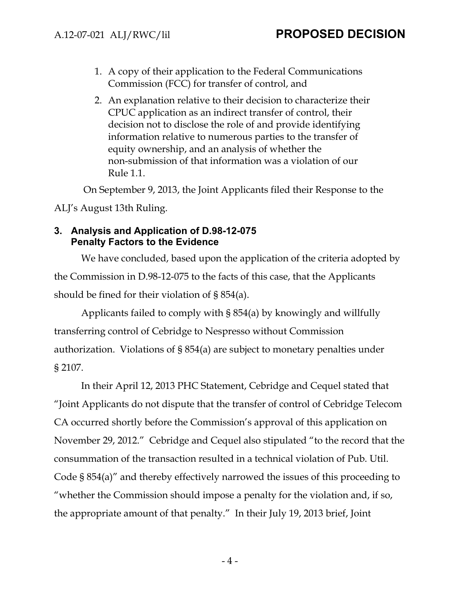- 1. A copy of their application to the Federal Communications Commission (FCC) for transfer of control, and
- 2. An explanation relative to their decision to characterize their CPUC application as an indirect transfer of control, their decision not to disclose the role of and provide identifying information relative to numerous parties to the transfer of equity ownership, and an analysis of whether the non-submission of that information was a violation of our Rule 1.1.

On September 9, 2013, the Joint Applicants filed their Response to the

ALJ's August 13th Ruling.

### **3. Analysis and Application of D.98-12-075 Penalty Factors to the Evidence**

We have concluded, based upon the application of the criteria adopted by the Commission in D.98-12-075 to the facts of this case, that the Applicants should be fined for their violation of § 854(a).

Applicants failed to comply with § 854(a) by knowingly and willfully transferring control of Cebridge to Nespresso without Commission authorization. Violations of § 854(a) are subject to monetary penalties under § 2107.

In their April 12, 2013 PHC Statement, Cebridge and Cequel stated that "Joint Applicants do not dispute that the transfer of control of Cebridge Telecom CA occurred shortly before the Commission's approval of this application on November 29, 2012." Cebridge and Cequel also stipulated "to the record that the consummation of the transaction resulted in a technical violation of Pub. Util. Code § 854(a)" and thereby effectively narrowed the issues of this proceeding to "whether the Commission should impose a penalty for the violation and, if so, the appropriate amount of that penalty." In their July 19, 2013 brief, Joint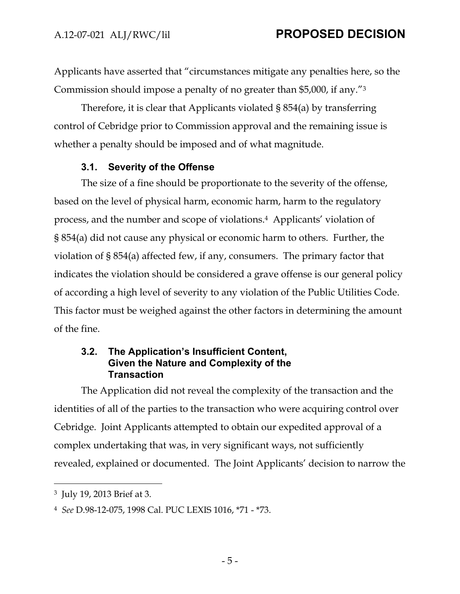Applicants have asserted that "circumstances mitigate any penalties here, so the Commission should impose a penalty of no greater than \$5,000, if any."3

Therefore, it is clear that Applicants violated § 854(a) by transferring control of Cebridge prior to Commission approval and the remaining issue is whether a penalty should be imposed and of what magnitude.

### **3.1. Severity of the Offense**

The size of a fine should be proportionate to the severity of the offense, based on the level of physical harm, economic harm, harm to the regulatory process, and the number and scope of violations.4 Applicants' violation of § 854(a) did not cause any physical or economic harm to others. Further, the violation of § 854(a) affected few, if any, consumers. The primary factor that indicates the violation should be considered a grave offense is our general policy of according a high level of severity to any violation of the Public Utilities Code. This factor must be weighed against the other factors in determining the amount of the fine.

### **3.2. The Application's Insufficient Content, Given the Nature and Complexity of the Transaction**

The Application did not reveal the complexity of the transaction and the identities of all of the parties to the transaction who were acquiring control over Cebridge. Joint Applicants attempted to obtain our expedited approval of a complex undertaking that was, in very significant ways, not sufficiently revealed, explained or documented. The Joint Applicants' decision to narrow the

<sup>3</sup> July 19, 2013 Brief at 3.

<sup>4</sup> *See* D.98-12-075, 1998 Cal. PUC LEXIS 1016, \*71 - \*73.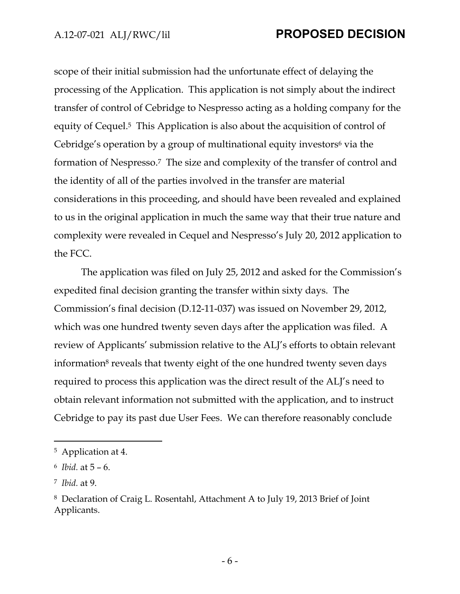scope of their initial submission had the unfortunate effect of delaying the processing of the Application. This application is not simply about the indirect transfer of control of Cebridge to Nespresso acting as a holding company for the equity of Cequel.5 This Application is also about the acquisition of control of Cebridge's operation by a group of multinational equity investors<sup>6</sup> via the formation of Nespresso.7 The size and complexity of the transfer of control and the identity of all of the parties involved in the transfer are material considerations in this proceeding, and should have been revealed and explained to us in the original application in much the same way that their true nature and complexity were revealed in Cequel and Nespresso's July 20, 2012 application to the FCC.

The application was filed on July 25, 2012 and asked for the Commission's expedited final decision granting the transfer within sixty days. The Commission's final decision (D.12-11-037) was issued on November 29, 2012, which was one hundred twenty seven days after the application was filed. A review of Applicants' submission relative to the ALJ's efforts to obtain relevant information<sup>8</sup> reveals that twenty eight of the one hundred twenty seven days required to process this application was the direct result of the ALJ's need to obtain relevant information not submitted with the application, and to instruct Cebridge to pay its past due User Fees. We can therefore reasonably conclude

<sup>5</sup> Application at 4.

<sup>6</sup> *Ibid.* at 5 – 6.

<sup>7</sup> *Ibid.* at 9.

<sup>8</sup> Declaration of Craig L. Rosentahl, Attachment A to July 19, 2013 Brief of Joint Applicants.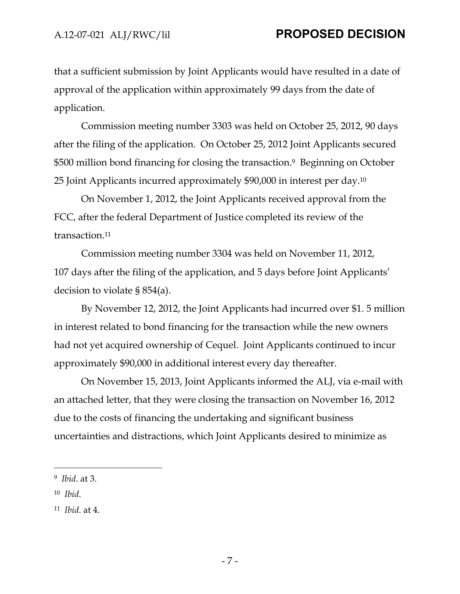that a sufficient submission by Joint Applicants would have resulted in a date of approval of the application within approximately 99 days from the date of application.

Commission meeting number 3303 was held on October 25, 2012, 90 days after the filing of the application. On October 25, 2012 Joint Applicants secured \$500 million bond financing for closing the transaction.<sup>9</sup> Beginning on October 25 Joint Applicants incurred approximately \$90,000 in interest per day.10

On November 1, 2012, the Joint Applicants received approval from the FCC, after the federal Department of Justice completed its review of the transaction.11

Commission meeting number 3304 was held on November 11, 2012, 107 days after the filing of the application, and 5 days before Joint Applicants' decision to violate § 854(a).

By November 12, 2012, the Joint Applicants had incurred over \$1. 5 million in interest related to bond financing for the transaction while the new owners had not yet acquired ownership of Cequel. Joint Applicants continued to incur approximately \$90,000 in additional interest every day thereafter.

On November 15, 2013, Joint Applicants informed the ALJ, via e-mail with an attached letter, that they were closing the transaction on November 16, 2012 due to the costs of financing the undertaking and significant business uncertainties and distractions, which Joint Applicants desired to minimize as

10 *Ibid*.

<sup>9</sup> *Ibid*. at 3.

<sup>11</sup> *Ibid*. at 4.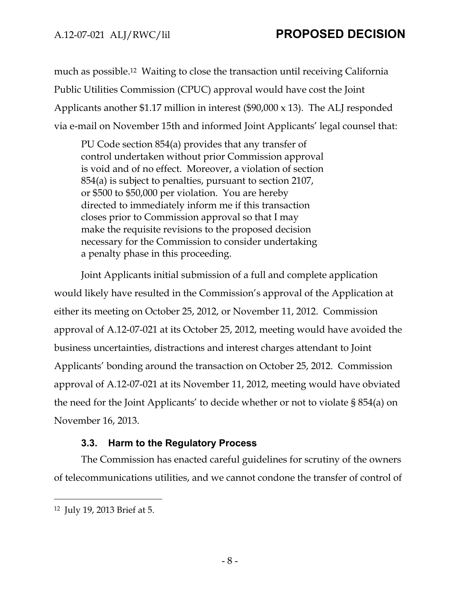much as possible.12 Waiting to close the transaction until receiving California Public Utilities Commission (CPUC) approval would have cost the Joint Applicants another \$1.17 million in interest (\$90,000 x 13). The ALJ responded via e-mail on November 15th and informed Joint Applicants' legal counsel that:

PU Code section 854(a) provides that any transfer of control undertaken without prior Commission approval is void and of no effect. Moreover, a violation of section 854(a) is subject to penalties, pursuant to section 2107, or \$500 to \$50,000 per violation. You are hereby directed to immediately inform me if this transaction closes prior to Commission approval so that I may make the requisite revisions to the proposed decision necessary for the Commission to consider undertaking a penalty phase in this proceeding.

Joint Applicants initial submission of a full and complete application would likely have resulted in the Commission's approval of the Application at either its meeting on October 25, 2012, or November 11, 2012. Commission approval of A.12-07-021 at its October 25, 2012, meeting would have avoided the business uncertainties, distractions and interest charges attendant to Joint Applicants' bonding around the transaction on October 25, 2012. Commission approval of A.12-07-021 at its November 11, 2012, meeting would have obviated the need for the Joint Applicants' to decide whether or not to violate § 854(a) on November 16, 2013.

### **3.3. Harm to the Regulatory Process**

The Commission has enacted careful guidelines for scrutiny of the owners of telecommunications utilities, and we cannot condone the transfer of control of

<sup>12</sup> July 19, 2013 Brief at 5.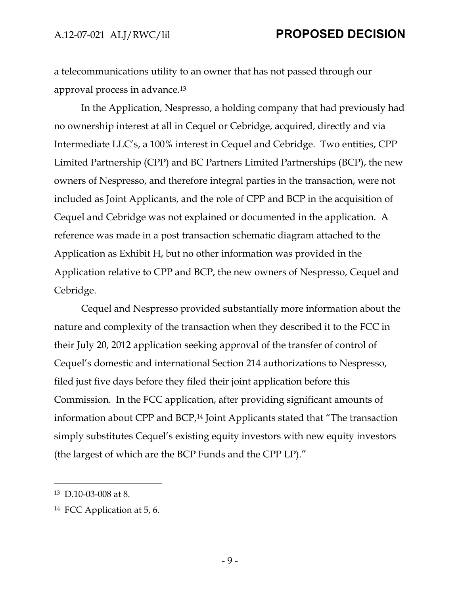a telecommunications utility to an owner that has not passed through our approval process in advance.13

In the Application, Nespresso, a holding company that had previously had no ownership interest at all in Cequel or Cebridge, acquired, directly and via Intermediate LLC's, a 100% interest in Cequel and Cebridge. Two entities, CPP Limited Partnership (CPP) and BC Partners Limited Partnerships (BCP), the new owners of Nespresso, and therefore integral parties in the transaction, were not included as Joint Applicants, and the role of CPP and BCP in the acquisition of Cequel and Cebridge was not explained or documented in the application. A reference was made in a post transaction schematic diagram attached to the Application as Exhibit H, but no other information was provided in the Application relative to CPP and BCP, the new owners of Nespresso, Cequel and Cebridge.

Cequel and Nespresso provided substantially more information about the nature and complexity of the transaction when they described it to the FCC in their July 20, 2012 application seeking approval of the transfer of control of Cequel's domestic and international Section 214 authorizations to Nespresso, filed just five days before they filed their joint application before this Commission. In the FCC application, after providing significant amounts of information about CPP and BCP,14 Joint Applicants stated that "The transaction simply substitutes Cequel's existing equity investors with new equity investors (the largest of which are the BCP Funds and the CPP LP)."

<sup>13</sup> D.10-03-008 at 8.

<sup>14</sup> FCC Application at 5, 6.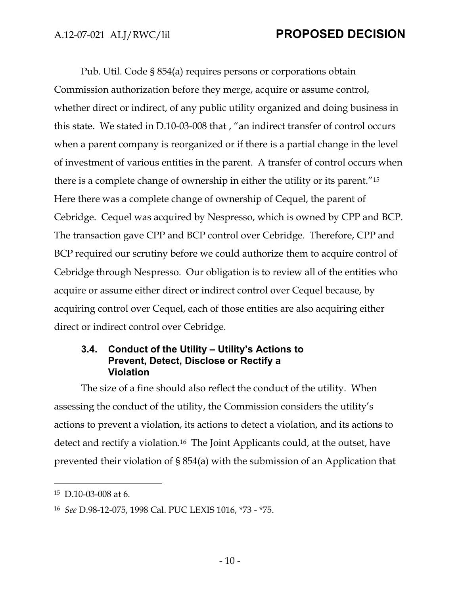Pub. Util. Code § 854(a) requires persons or corporations obtain Commission authorization before they merge, acquire or assume control, whether direct or indirect, of any public utility organized and doing business in this state. We stated in D.10-03-008 that , "an indirect transfer of control occurs when a parent company is reorganized or if there is a partial change in the level of investment of various entities in the parent. A transfer of control occurs when there is a complete change of ownership in either the utility or its parent."15 Here there was a complete change of ownership of Cequel, the parent of Cebridge. Cequel was acquired by Nespresso, which is owned by CPP and BCP. The transaction gave CPP and BCP control over Cebridge. Therefore, CPP and BCP required our scrutiny before we could authorize them to acquire control of Cebridge through Nespresso. Our obligation is to review all of the entities who acquire or assume either direct or indirect control over Cequel because, by acquiring control over Cequel, each of those entities are also acquiring either direct or indirect control over Cebridge.

### **3.4. Conduct of the Utility – Utility's Actions to Prevent, Detect, Disclose or Rectify a Violation**

The size of a fine should also reflect the conduct of the utility. When assessing the conduct of the utility, the Commission considers the utility's actions to prevent a violation, its actions to detect a violation, and its actions to detect and rectify a violation.<sup>16</sup> The Joint Applicants could, at the outset, have prevented their violation of § 854(a) with the submission of an Application that

<sup>15</sup> D.10-03-008 at 6.

<sup>16</sup> *See* D.98-12-075, 1998 Cal. PUC LEXIS 1016, \*73 - \*75.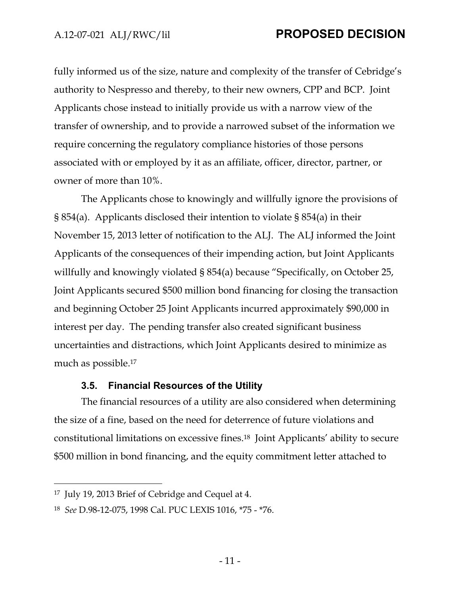fully informed us of the size, nature and complexity of the transfer of Cebridge's authority to Nespresso and thereby, to their new owners, CPP and BCP. Joint Applicants chose instead to initially provide us with a narrow view of the transfer of ownership, and to provide a narrowed subset of the information we require concerning the regulatory compliance histories of those persons associated with or employed by it as an affiliate, officer, director, partner, or owner of more than 10%.

The Applicants chose to knowingly and willfully ignore the provisions of § 854(a). Applicants disclosed their intention to violate § 854(a) in their November 15, 2013 letter of notification to the ALJ. The ALJ informed the Joint Applicants of the consequences of their impending action, but Joint Applicants willfully and knowingly violated § 854(a) because "Specifically, on October 25, Joint Applicants secured \$500 million bond financing for closing the transaction and beginning October 25 Joint Applicants incurred approximately \$90,000 in interest per day. The pending transfer also created significant business uncertainties and distractions, which Joint Applicants desired to minimize as much as possible.17

#### **3.5. Financial Resources of the Utility**

The financial resources of a utility are also considered when determining the size of a fine, based on the need for deterrence of future violations and constitutional limitations on excessive fines.18 Joint Applicants' ability to secure \$500 million in bond financing, and the equity commitment letter attached to

<sup>17</sup> July 19, 2013 Brief of Cebridge and Cequel at 4.

<sup>18</sup> *See* D.98-12-075, 1998 Cal. PUC LEXIS 1016, \*75 - \*76.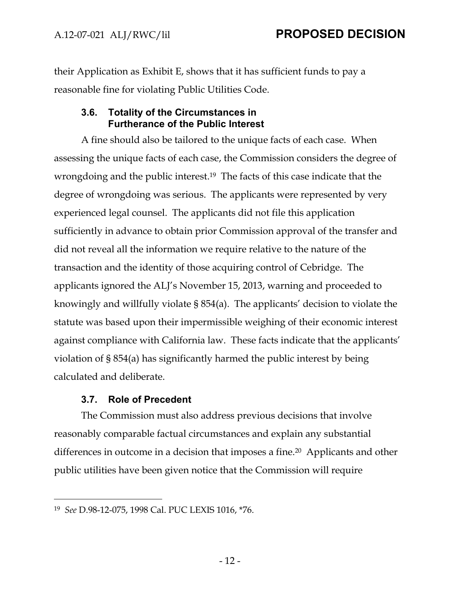their Application as Exhibit E, shows that it has sufficient funds to pay a reasonable fine for violating Public Utilities Code.

### **3.6. Totality of the Circumstances in Furtherance of the Public Interest**

A fine should also be tailored to the unique facts of each case. When assessing the unique facts of each case, the Commission considers the degree of wrongdoing and the public interest.19 The facts of this case indicate that the degree of wrongdoing was serious. The applicants were represented by very experienced legal counsel. The applicants did not file this application sufficiently in advance to obtain prior Commission approval of the transfer and did not reveal all the information we require relative to the nature of the transaction and the identity of those acquiring control of Cebridge. The applicants ignored the ALJ's November 15, 2013, warning and proceeded to knowingly and willfully violate § 854(a). The applicants' decision to violate the statute was based upon their impermissible weighing of their economic interest against compliance with California law. These facts indicate that the applicants' violation of § 854(a) has significantly harmed the public interest by being calculated and deliberate.

### **3.7. Role of Precedent**

 $\overline{a}$ 

The Commission must also address previous decisions that involve reasonably comparable factual circumstances and explain any substantial differences in outcome in a decision that imposes a fine.20 Applicants and other public utilities have been given notice that the Commission will require

<sup>19</sup> *See* D.98-12-075, 1998 Cal. PUC LEXIS 1016, \*76.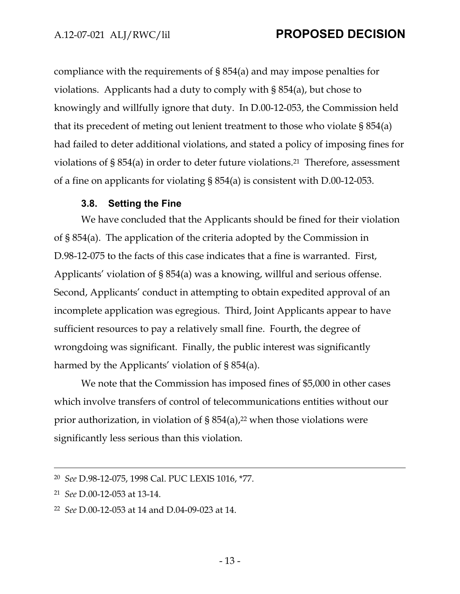compliance with the requirements of § 854(a) and may impose penalties for violations. Applicants had a duty to comply with § 854(a), but chose to knowingly and willfully ignore that duty. In D.00-12-053, the Commission held that its precedent of meting out lenient treatment to those who violate § 854(a) had failed to deter additional violations, and stated a policy of imposing fines for violations of § 854(a) in order to deter future violations.21 Therefore, assessment of a fine on applicants for violating § 854(a) is consistent with D.00-12-053.

#### **3.8. Setting the Fine**

We have concluded that the Applicants should be fined for their violation of § 854(a). The application of the criteria adopted by the Commission in D.98-12-075 to the facts of this case indicates that a fine is warranted. First, Applicants' violation of § 854(a) was a knowing, willful and serious offense. Second, Applicants' conduct in attempting to obtain expedited approval of an incomplete application was egregious. Third, Joint Applicants appear to have sufficient resources to pay a relatively small fine. Fourth, the degree of wrongdoing was significant. Finally, the public interest was significantly harmed by the Applicants' violation of § 854(a).

We note that the Commission has imposed fines of \$5,000 in other cases which involve transfers of control of telecommunications entities without our prior authorization, in violation of  $\S$  854(a),<sup>22</sup> when those violations were significantly less serious than this violation.

 <sup>20</sup> *See* D.98-12-075, 1998 Cal. PUC LEXIS 1016, \*77.

<sup>21</sup> *See* D.00-12-053 at 13-14.

<sup>22</sup> *See* D.00-12-053 at 14 and D.04-09-023 at 14.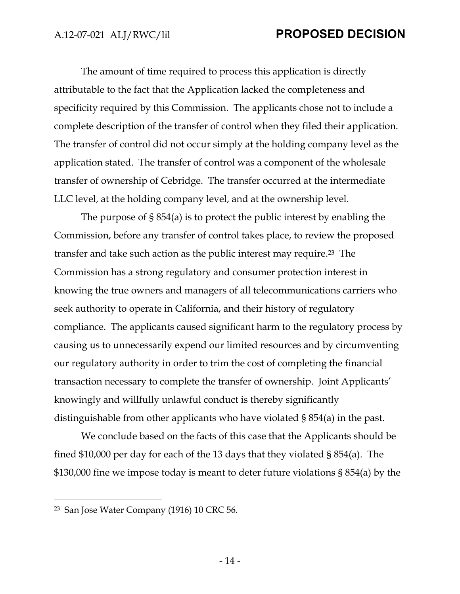The amount of time required to process this application is directly attributable to the fact that the Application lacked the completeness and specificity required by this Commission. The applicants chose not to include a complete description of the transfer of control when they filed their application. The transfer of control did not occur simply at the holding company level as the application stated. The transfer of control was a component of the wholesale transfer of ownership of Cebridge. The transfer occurred at the intermediate LLC level, at the holding company level, and at the ownership level.

The purpose of § 854(a) is to protect the public interest by enabling the Commission, before any transfer of control takes place, to review the proposed transfer and take such action as the public interest may require.23 The Commission has a strong regulatory and consumer protection interest in knowing the true owners and managers of all telecommunications carriers who seek authority to operate in California, and their history of regulatory compliance. The applicants caused significant harm to the regulatory process by causing us to unnecessarily expend our limited resources and by circumventing our regulatory authority in order to trim the cost of completing the financial transaction necessary to complete the transfer of ownership. Joint Applicants' knowingly and willfully unlawful conduct is thereby significantly distinguishable from other applicants who have violated § 854(a) in the past.

We conclude based on the facts of this case that the Applicants should be fined \$10,000 per day for each of the 13 days that they violated § 854(a). The \$130,000 fine we impose today is meant to deter future violations § 854(a) by the

<sup>23</sup> San Jose Water Company (1916) 10 CRC 56.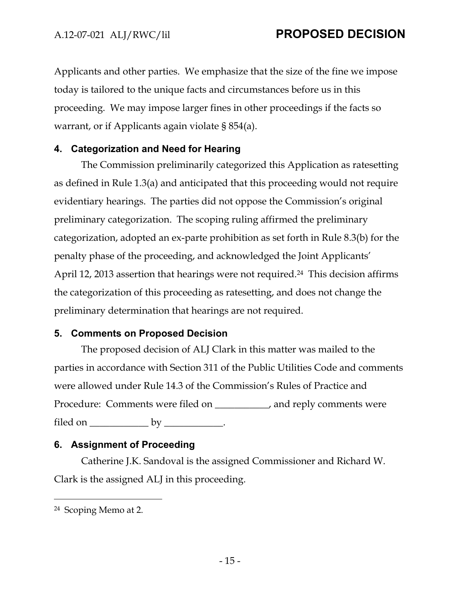Applicants and other parties. We emphasize that the size of the fine we impose today is tailored to the unique facts and circumstances before us in this proceeding. We may impose larger fines in other proceedings if the facts so warrant, or if Applicants again violate § 854(a).

### **4. Categorization and Need for Hearing**

The Commission preliminarily categorized this Application as ratesetting as defined in Rule 1.3(a) and anticipated that this proceeding would not require evidentiary hearings. The parties did not oppose the Commission's original preliminary categorization. The scoping ruling affirmed the preliminary categorization, adopted an ex-parte prohibition as set forth in Rule 8.3(b) for the penalty phase of the proceeding, and acknowledged the Joint Applicants' April 12, 2013 assertion that hearings were not required.<sup>24</sup> This decision affirms the categorization of this proceeding as ratesetting, and does not change the preliminary determination that hearings are not required.

#### **5. Comments on Proposed Decision**

The proposed decision of ALJ Clark in this matter was mailed to the parties in accordance with Section 311 of the Public Utilities Code and comments were allowed under Rule 14.3 of the Commission's Rules of Practice and Procedure: Comments were filed on \_\_\_\_\_\_\_\_\_\_\_, and reply comments were filed on \_\_\_\_\_\_\_\_\_\_\_\_\_\_\_\_ by \_\_\_\_\_\_\_\_\_\_\_.

### **6. Assignment of Proceeding**

Catherine J.K. Sandoval is the assigned Commissioner and Richard W. Clark is the assigned ALJ in this proceeding.

<sup>24</sup> Scoping Memo at 2.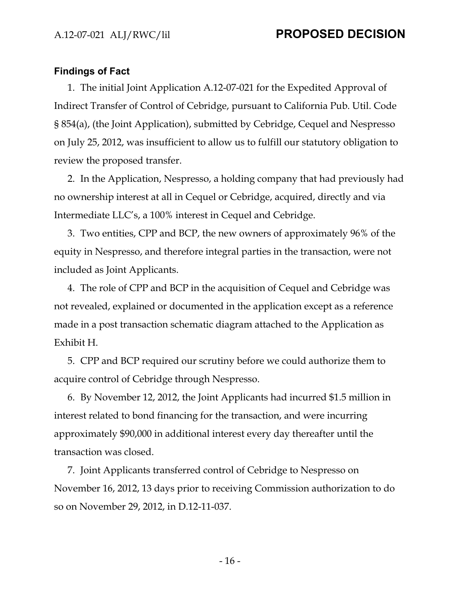#### **Findings of Fact**

1. The initial Joint Application A.12-07-021 for the Expedited Approval of Indirect Transfer of Control of Cebridge, pursuant to California Pub. Util. Code § 854(a), (the Joint Application), submitted by Cebridge, Cequel and Nespresso on July 25, 2012, was insufficient to allow us to fulfill our statutory obligation to review the proposed transfer.

2. In the Application, Nespresso, a holding company that had previously had no ownership interest at all in Cequel or Cebridge, acquired, directly and via Intermediate LLC's, a 100% interest in Cequel and Cebridge.

3. Two entities, CPP and BCP, the new owners of approximately 96% of the equity in Nespresso, and therefore integral parties in the transaction, were not included as Joint Applicants.

4. The role of CPP and BCP in the acquisition of Cequel and Cebridge was not revealed, explained or documented in the application except as a reference made in a post transaction schematic diagram attached to the Application as Exhibit H.

5. CPP and BCP required our scrutiny before we could authorize them to acquire control of Cebridge through Nespresso.

6. By November 12, 2012, the Joint Applicants had incurred \$1.5 million in interest related to bond financing for the transaction, and were incurring approximately \$90,000 in additional interest every day thereafter until the transaction was closed.

7. Joint Applicants transferred control of Cebridge to Nespresso on November 16, 2012, 13 days prior to receiving Commission authorization to do so on November 29, 2012, in D.12-11-037.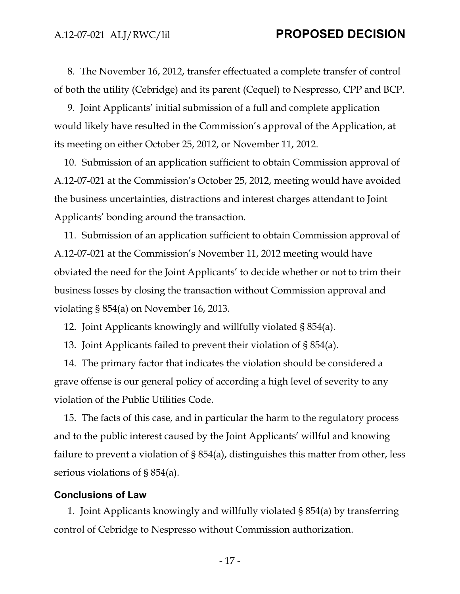8. The November 16, 2012, transfer effectuated a complete transfer of control of both the utility (Cebridge) and its parent (Cequel) to Nespresso, CPP and BCP.

9. Joint Applicants' initial submission of a full and complete application would likely have resulted in the Commission's approval of the Application, at its meeting on either October 25, 2012, or November 11, 2012.

10. Submission of an application sufficient to obtain Commission approval of A.12-07-021 at the Commission's October 25, 2012, meeting would have avoided the business uncertainties, distractions and interest charges attendant to Joint Applicants' bonding around the transaction.

11. Submission of an application sufficient to obtain Commission approval of A.12-07-021 at the Commission's November 11, 2012 meeting would have obviated the need for the Joint Applicants' to decide whether or not to trim their business losses by closing the transaction without Commission approval and violating § 854(a) on November 16, 2013.

12. Joint Applicants knowingly and willfully violated § 854(a).

13. Joint Applicants failed to prevent their violation of § 854(a).

14. The primary factor that indicates the violation should be considered a grave offense is our general policy of according a high level of severity to any violation of the Public Utilities Code.

15. The facts of this case, and in particular the harm to the regulatory process and to the public interest caused by the Joint Applicants' willful and knowing failure to prevent a violation of § 854(a), distinguishes this matter from other, less serious violations of § 854(a).

#### **Conclusions of Law**

1. Joint Applicants knowingly and willfully violated § 854(a) by transferring control of Cebridge to Nespresso without Commission authorization.

- 17 -